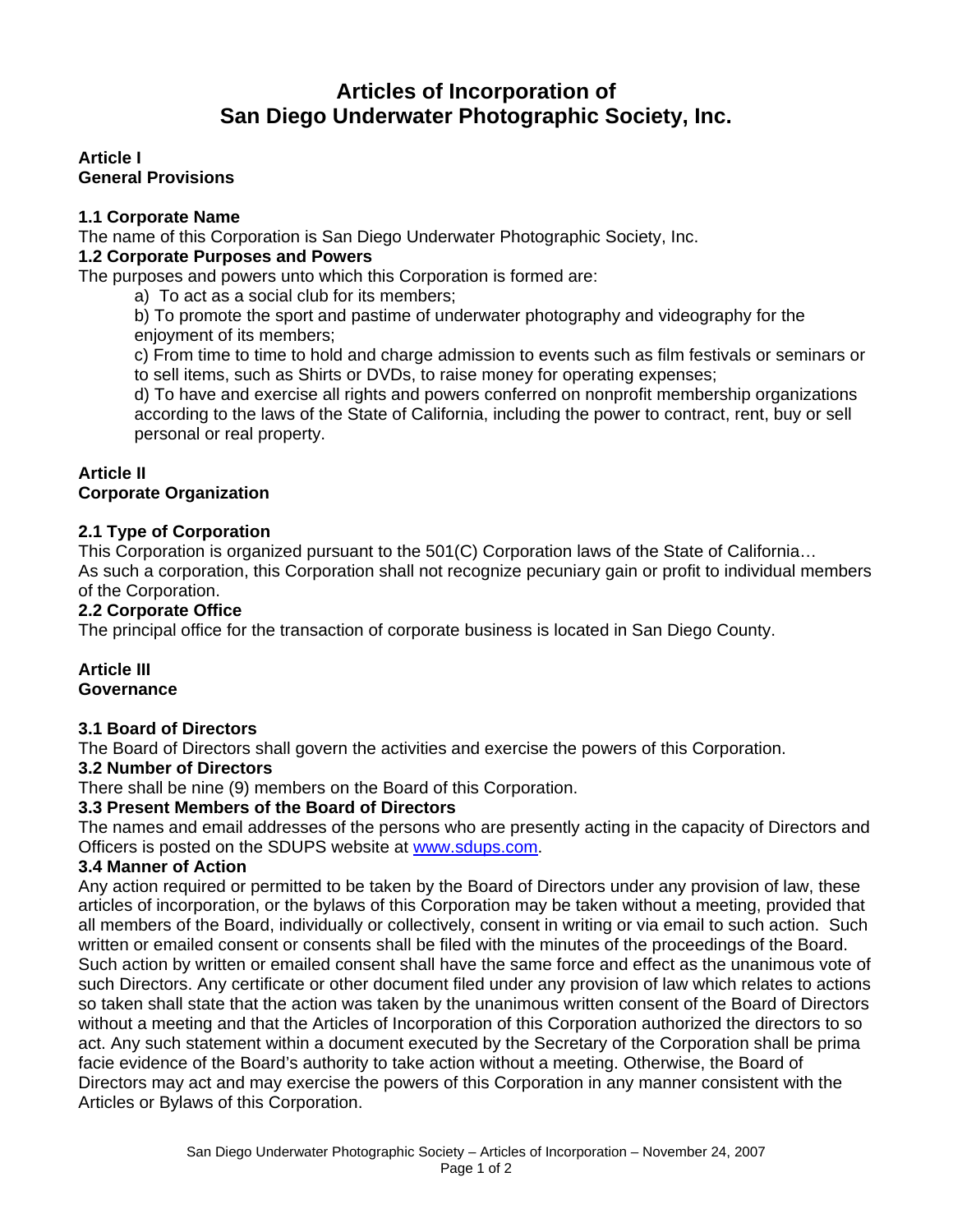# **Articles of Incorporation of San Diego Underwater Photographic Society, Inc.**

**Article I General Provisions**

# **1.1 Corporate Name**

The name of this Corporation is San Diego Underwater Photographic Society, Inc.

# **1.2 Corporate Purposes and Powers**

The purposes and powers unto which this Corporation is formed are:

a) To act as a social club for its members;

b) To promote the sport and pastime of underwater photography and videography for the enjoyment of its members;

c) From time to time to hold and charge admission to events such as film festivals or seminars or to sell items, such as Shirts or DVDs, to raise money for operating expenses;

d) To have and exercise all rights and powers conferred on nonprofit membership organizations according to the laws of the State of California, including the power to contract, rent, buy or sell personal or real property.

# **Article II**

# **Corporate Organization**

# **2.1 Type of Corporation**

This Corporation is organized pursuant to the 501(C) Corporation laws of the State of California… As such a corporation, this Corporation shall not recognize pecuniary gain or profit to individual members of the Corporation.

# **2.2 Corporate Office**

The principal office for the transaction of corporate business is located in San Diego County.

### **Article III Governance**

# **3.1 Board of Directors**

The Board of Directors shall govern the activities and exercise the powers of this Corporation.

### **3.2 Number of Directors**

There shall be nine (9) members on the Board of this Corporation.

# **3.3 Present Members of the Board of Directors**

The names and email addresses of the persons who are presently acting in the capacity of Directors and Officers is posted on the SDUPS website at [www.sdups.com.](http://www.sdups.com/)

### **3.4 Manner of Action**

Any action required or permitted to be taken by the Board of Directors under any provision of law, these articles of incorporation, or the bylaws of this Corporation may be taken without a meeting, provided that all members of the Board, individually or collectively, consent in writing or via email to such action. Such written or emailed consent or consents shall be filed with the minutes of the proceedings of the Board. Such action by written or emailed consent shall have the same force and effect as the unanimous vote of such Directors. Any certificate or other document filed under any provision of law which relates to actions so taken shall state that the action was taken by the unanimous written consent of the Board of Directors without a meeting and that the Articles of Incorporation of this Corporation authorized the directors to so act. Any such statement within a document executed by the Secretary of the Corporation shall be prima facie evidence of the Board's authority to take action without a meeting. Otherwise, the Board of Directors may act and may exercise the powers of this Corporation in any manner consistent with the Articles or Bylaws of this Corporation.